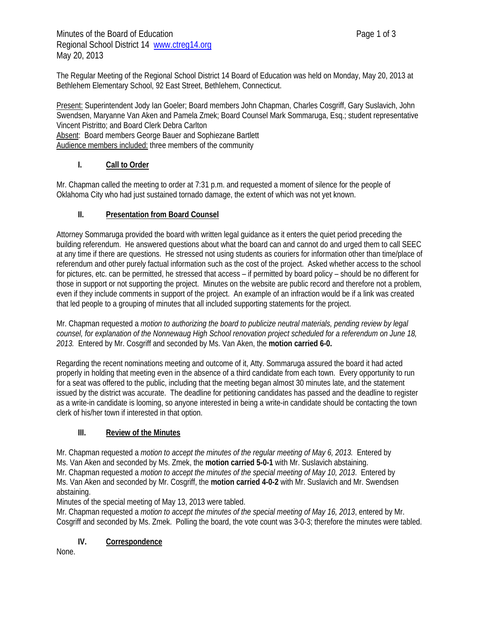The Regular Meeting of the Regional School District 14 Board of Education was held on Monday, May 20, 2013 at Bethlehem Elementary School, 92 East Street, Bethlehem, Connecticut.

Present: Superintendent Jody Ian Goeler; Board members John Chapman, Charles Cosgriff, Gary Suslavich, John Swendsen, Maryanne Van Aken and Pamela Zmek; Board Counsel Mark Sommaruga, Esq.; student representative Vincent Pistritto; and Board Clerk Debra Carlton Absent: Board members George Bauer and Sophiezane Bartlett Audience members included: three members of the community

# **I. Call to Order**

Mr. Chapman called the meeting to order at 7:31 p.m. and requested a moment of silence for the people of Oklahoma City who had just sustained tornado damage, the extent of which was not yet known.

# **II. Presentation from Board Counsel**

Attorney Sommaruga provided the board with written legal guidance as it enters the quiet period preceding the building referendum. He answered questions about what the board can and cannot do and urged them to call SEEC at any time if there are questions. He stressed not using students as couriers for information other than time/place of referendum and other purely factual information such as the cost of the project. Asked whether access to the school for pictures, etc. can be permitted, he stressed that access – if permitted by board policy – should be no different for those in support or not supporting the project. Minutes on the website are public record and therefore not a problem, even if they include comments in support of the project. An example of an infraction would be if a link was created that led people to a grouping of minutes that all included supporting statements for the project.

Mr. Chapman requested a *motion to authorizing the board to publicize neutral materials, pending review by legal counsel, for explanation of the Nonnewaug High School renovation project scheduled for a referendum on June 18, 2013.* Entered by Mr. Cosgriff and seconded by Ms. Van Aken, the **motion carried 6-0.**

Regarding the recent nominations meeting and outcome of it, Atty. Sommaruga assured the board it had acted properly in holding that meeting even in the absence of a third candidate from each town. Every opportunity to run for a seat was offered to the public, including that the meeting began almost 30 minutes late, and the statement issued by the district was accurate. The deadline for petitioning candidates has passed and the deadline to register as a write-in candidate is looming, so anyone interested in being a write-in candidate should be contacting the town clerk of his/her town if interested in that option.

## **III. Review of the Minutes**

Mr. Chapman requested a *motion to accept the minutes of the regular meeting of May 6, 2013.* Entered by Ms. Van Aken and seconded by Ms. Zmek, the **motion carried 5-0-1** with Mr. Suslavich abstaining. Mr. Chapman requested a *motion to accept the minutes of the special meeting of May 10, 2013*. Entered by Ms. Van Aken and seconded by Mr. Cosgriff, the **motion carried 4-0-2** with Mr. Suslavich and Mr. Swendsen abstaining.

Minutes of the special meeting of May 13, 2013 were tabled.

Mr. Chapman requested a *motion to accept the minutes of the special meeting of May 16, 2013*, entered by Mr. Cosgriff and seconded by Ms. Zmek. Polling the board, the vote count was 3-0-3; therefore the minutes were tabled.

## **IV. Correspondence**

None.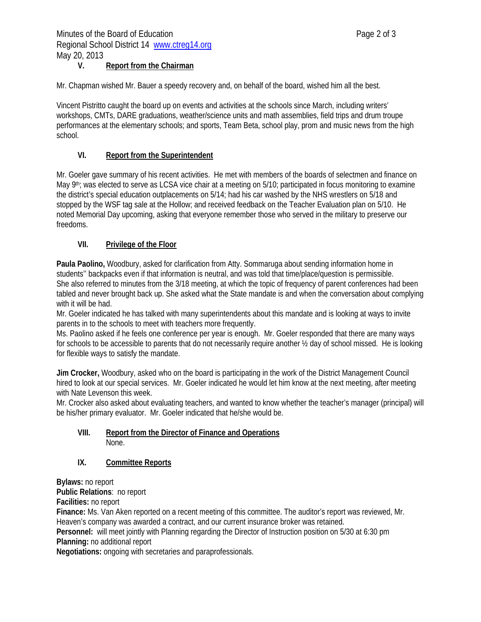## **V. Report from the Chairman**

Mr. Chapman wished Mr. Bauer a speedy recovery and, on behalf of the board, wished him all the best.

Vincent Pistritto caught the board up on events and activities at the schools since March, including writers' workshops, CMTs, DARE graduations, weather/science units and math assemblies, field trips and drum troupe performances at the elementary schools; and sports, Team Beta, school play, prom and music news from the high school.

### **VI. Report from the Superintendent**

Mr. Goeler gave summary of his recent activities. He met with members of the boards of selectmen and finance on May 9<sup>th</sup>; was elected to serve as LCSA vice chair at a meeting on 5/10; participated in focus monitoring to examine the district's special education outplacements on 5/14; had his car washed by the NHS wrestlers on 5/18 and stopped by the WSF tag sale at the Hollow; and received feedback on the Teacher Evaluation plan on 5/10. He noted Memorial Day upcoming, asking that everyone remember those who served in the military to preserve our freedoms.

### **VII. Privilege of the Floor**

**Paula Paolino,** Woodbury, asked for clarification from Atty. Sommaruga about sending information home in students'' backpacks even if that information is neutral, and was told that time/place/question is permissible. She also referred to minutes from the 3/18 meeting, at which the topic of frequency of parent conferences had been tabled and never brought back up. She asked what the State mandate is and when the conversation about complying with it will be had.

Mr. Goeler indicated he has talked with many superintendents about this mandate and is looking at ways to invite parents in to the schools to meet with teachers more frequently.

Ms. Paolino asked if he feels one conference per year is enough. Mr. Goeler responded that there are many ways for schools to be accessible to parents that do not necessarily require another ½ day of school missed. He is looking for flexible ways to satisfy the mandate.

**Jim Crocker,** Woodbury, asked who on the board is participating in the work of the District Management Council hired to look at our special services. Mr. Goeler indicated he would let him know at the next meeting, after meeting with Nate Levenson this week.

Mr. Crocker also asked about evaluating teachers, and wanted to know whether the teacher's manager (principal) will be his/her primary evaluator. Mr. Goeler indicated that he/she would be.

### **VIII. Report from the Director of Finance and Operations**  None.

### **IX. Committee Reports**

**Bylaws:** no report

**Public Relations**: no report

**Facilities:** no report

**Finance:** Ms. Van Aken reported on a recent meeting of this committee. The auditor's report was reviewed, Mr. Heaven's company was awarded a contract, and our current insurance broker was retained.

**Personnel:** will meet jointly with Planning regarding the Director of Instruction position on 5/30 at 6:30 pm **Planning:** no additional report

**Negotiations:** ongoing with secretaries and paraprofessionals.